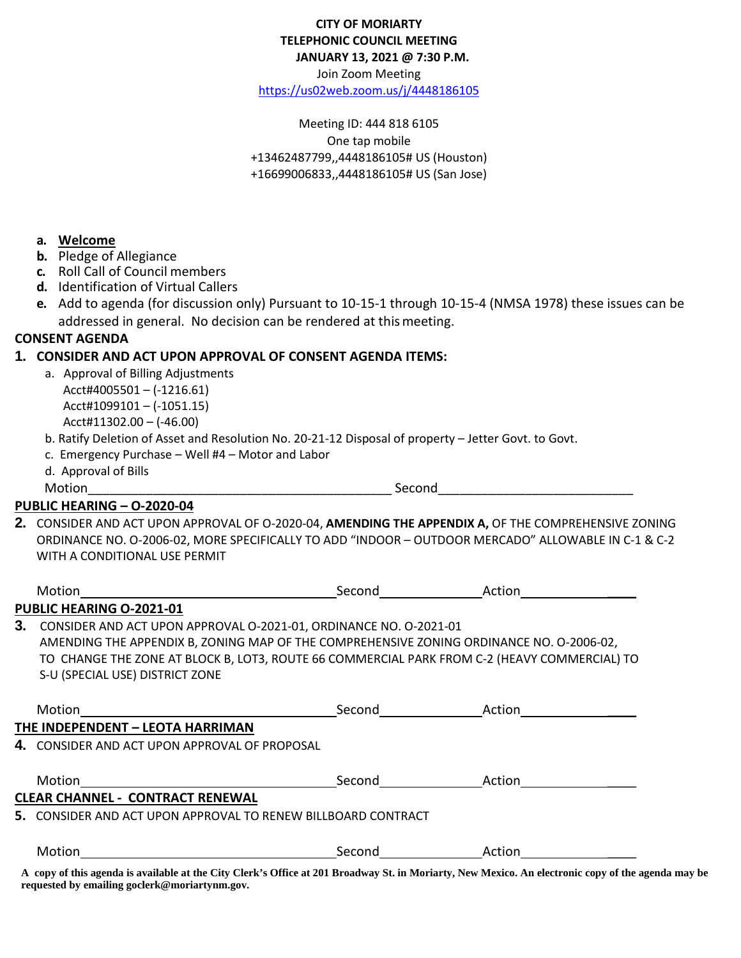| <b>CITY OF MORIARTY</b>      |
|------------------------------|
| TELEPHONIC COUNCIL MEETING   |
| JANUARY 13, 2021 @ 7:30 P.M. |

Join Zoom Meeting

<https://us02web.zoom.us/j/4448186105>

Meeting ID: 444 818 6105 One tap mobile +13462487799,,4448186105# US (Houston) +16699006833,,4448186105# US (San Jose)

## **a. Welcome**

- **b.** Pledge of Allegiance
- **c.** Roll Call of Council members
- **d.** Identification of Virtual Callers
- **e.** Add to agenda (for discussion only) Pursuant to 10-15-1 through 10-15-4 (NMSA 1978) these issues can be addressed in general. No decision can be rendered at thismeeting.

### **CONSENT AGENDA**

#### **1. CONSIDER AND ACT UPON APPROVAL OF CONSENT AGENDA ITEMS:**

 a. Approval of Billing Adjustments Acct#4005501 – (-1216.61) Acct#1099101 – (-1051.15) Acct#11302.00 – (-46.00)

b. Ratify Deletion of Asset and Resolution No. 20-21-12 Disposal of property – Jetter Govt. to Govt.

- c. Emergency Purchase Well #4 Motor and Labor
- d. Approval of Bills

Motion\_\_\_\_\_\_\_\_\_\_\_\_\_\_\_\_\_\_\_\_\_\_\_\_\_\_\_\_\_\_\_\_\_\_\_\_\_\_\_\_\_\_ Second\_\_\_\_\_\_\_\_\_\_\_\_\_\_\_\_\_\_\_\_\_\_\_\_\_\_\_

#### **PUBLIC HEARING – O-2020-04**

**2.** CONSIDER AND ACT UPON APPROVAL OF O-2020-04, **AMENDING THE APPENDIX A,** OF THE COMPREHENSIVE ZONING ORDINANCE NO. O-2006-02, MORE SPECIFICALLY TO ADD "INDOOR – OUTDOOR MERCADO" ALLOWABLE IN C-1 & C-2 WITH A CONDITIONAL USE PERMIT

|    | Motion                                                                                                                                                                                                                                                                                           | Second | Action        |  |  |
|----|--------------------------------------------------------------------------------------------------------------------------------------------------------------------------------------------------------------------------------------------------------------------------------------------------|--------|---------------|--|--|
|    | PUBLIC HEARING O-2021-01                                                                                                                                                                                                                                                                         |        |               |  |  |
| 3. | CONSIDER AND ACT UPON APPROVAL O-2021-01, ORDINANCE NO. O-2021-01<br>AMENDING THE APPENDIX B, ZONING MAP OF THE COMPREHENSIVE ZONING ORDINANCE NO. 0-2006-02,<br>TO CHANGE THE ZONE AT BLOCK B, LOT3, ROUTE 66 COMMERCIAL PARK FROM C-2 (HEAVY COMMERCIAL) TO<br>S-U (SPECIAL USE) DISTRICT ZONE |        |               |  |  |
|    | THE INDEPENDENT - LEOTA HARRIMAN                                                                                                                                                                                                                                                                 |        | Second Action |  |  |
|    | 4. CONSIDER AND ACT UPON APPROVAL OF PROPOSAL                                                                                                                                                                                                                                                    |        |               |  |  |
|    | Motion <b>Exercise Service Service Service Service</b> Service Service Service Service Service Service Service Service                                                                                                                                                                           |        | Second Action |  |  |
|    | <b>CLEAR CHANNEL - CONTRACT RENEWAL</b>                                                                                                                                                                                                                                                          |        |               |  |  |
|    | 5. CONSIDER AND ACT UPON APPROVAL TO RENEW BILLBOARD CONTRACT                                                                                                                                                                                                                                    |        |               |  |  |
|    | Motion                                                                                                                                                                                                                                                                                           | Second | Action        |  |  |

**A copy of this agenda is available at the City Clerk's Office at 201 Broadway St. in Moriarty, New Mexico. An electronic copy of the agenda may be requested by emailing goclerk@moriartynm.gov.**